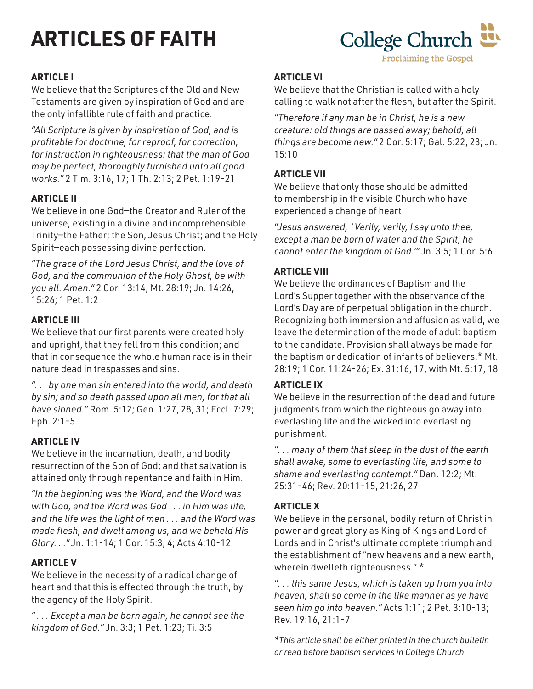# **ARTICLES OF FAITH**

# **College Church Adr Proclaiming the Gospel**

# **ARTICLE I**

We believe that the Scriptures of the Old and New Testaments are given by inspiration of God and are the only infallible rule of faith and practice.

*"All Scripture is given by inspiration of God, and is profitable for doctrine, for reproof, for correction, for instruction in righteousness: that the man of God may be perfect, thoroughly furnished unto all good works."* 2 Tim. 3:16, 17; 1 Th. 2:13; 2 Pet. 1:19-21

#### **ARTICLE II**

We believe in one God—the Creator and Ruler of the universe, existing in a divine and incomprehensible Trinity—the Father; the Son, Jesus Christ; and the Holy Spirit—each possessing divine perfection.

*"The grace of the Lord Jesus Christ, and the love of God, and the communion of the Holy Ghost, be with you all. Amen."* 2 Cor. 13:14; Mt. 28:19; Jn. 14:26, 15:26; 1 Pet. 1:2

#### **ARTICLE III**

We believe that our first parents were created holy and upright, that they fell from this condition; and that in consequence the whole human race is in their nature dead in trespasses and sins.

*". . . by one man sin entered into the world, and death by sin; and so death passed upon all men, for that all have sinned."* Rom. 5:12; Gen. 1:27, 28, 31; Eccl. 7:29; Eph. 2:1-5

#### **ARTICLE IV**

We believe in the incarnation, death, and bodily resurrection of the Son of God; and that salvation is attained only through repentance and faith in Him.

*"In the beginning was the Word, and the Word was with God, and the Word was God . . . in Him was life, and the life was the light of men . . . and the Word was made flesh, and dwelt among us, and we beheld His Glory. . ."* Jn. 1:1-14; 1 Cor. 15:3, 4; Acts 4:10-12

#### **ARTICLE V**

We believe in the necessity of a radical change of heart and that this is effected through the truth, by the agency of the Holy Spirit.

*" . . . Except a man be born again, he cannot see the kingdom of God."* Jn. 3:3; 1 Pet. 1:23; Ti. 3:5

#### **ARTICLE VI**

We believe that the Christian is called with a holy calling to walk not after the flesh, but after the Spirit.

*"Therefore if any man be in Christ, he is a new creature: old things are passed away; behold, all things are become new."* 2 Cor. 5:17; Gal. 5:22, 23; Jn. 15:10

# **ARTICLE VII**

We believe that only those should be admitted to membership in the visible Church who have experienced a change of heart.

*"Jesus answered, `Verily, verily, I say unto thee, except a man be born of water and the Spirit, he cannot enter the kingdom of God.'"* Jn. 3:5; 1 Cor. 5:6

# **ARTICLE VIII**

We believe the ordinances of Baptism and the Lord's Supper together with the observance of the Lord's Day are of perpetual obligation in the church. Recognizing both immersion and affusion as valid, we leave the determination of the mode of adult baptism to the candidate. Provision shall always be made for the baptism or dedication of infants of believers.\* Mt. 28:19; 1 Cor. 11:24-26; Ex. 31:16, 17, with Mt. 5:17, 18

#### **ARTICLE IX**

We believe in the resurrection of the dead and future judgments from which the righteous go away into everlasting life and the wicked into everlasting punishment.

*". . . many of them that sleep in the dust of the earth shall awake, some to everlasting life, and some to shame and everlasting contempt."* Dan. 12:2; Mt. 25:31-46; Rev. 20:11-15, 21:26, 27

#### **ARTICLE X**

We believe in the personal, bodily return of Christ in power and great glory as King of Kings and Lord of Lords and in Christ's ultimate complete triumph and the establishment of "new heavens and a new earth, wherein dwelleth righteousness." \*

*". . . this same Jesus, which is taken up from you into heaven, shall so come in the like manner as ye have seen him go into heaven."* Acts 1:11; 2 Pet. 3:10-13; Rev. 19:16, 21:1-7

*\*This article shall be either printed in the church bulletin or read before baptism services in College Church.*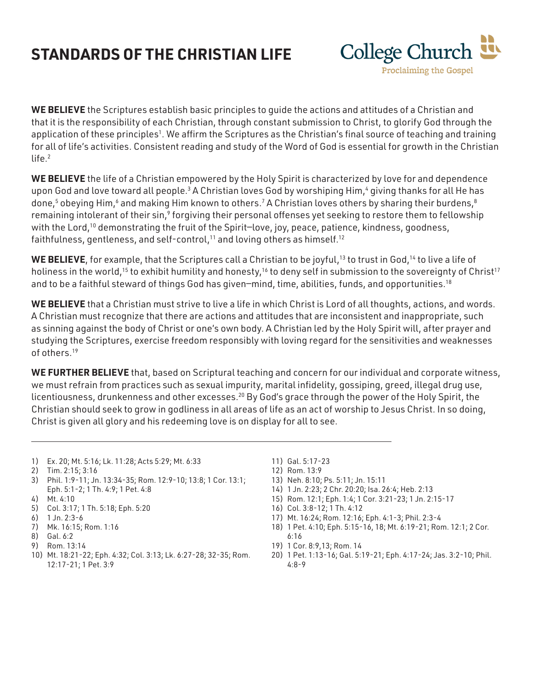# **STANDARDS OF THE CHRISTIAN LIFE**



**WE BELIEVE** the Scriptures establish basic principles to guide the actions and attitudes of a Christian and that it is the responsibility of each Christian, through constant submission to Christ, to glorify God through the application of these principles<sup>1</sup>. We affirm the Scriptures as the Christian's final source of teaching and training for all of life's activities. Consistent reading and study of the Word of God is essential for growth in the Christian life.<sup>2</sup>

**WE BELIEVE** the life of a Christian empowered by the Holy Spirit is characterized by love for and dependence upon God and love toward all people.<sup>3</sup> A Christian loves God by worshiping Him,<sup>4</sup> giving thanks for all He has done,<sup>5</sup> obeying Him,<sup>6</sup> and making Him known to others.<sup>7</sup> A Christian loves others by sharing their burdens,<sup>8</sup> remaining intolerant of their sin,<sup>9</sup> forgiving their personal offenses yet seeking to restore them to fellowship with the Lord,<sup>10</sup> demonstrating the fruit of the Spirit-love, joy, peace, patience, kindness, goodness, faithfulness, gentleness, and self-control, $11$  and loving others as himself. $12$ 

WE BELIEVE, for example, that the Scriptures call a Christian to be joyful,<sup>13</sup> to trust in God,<sup>14</sup> to live a life of holiness in the world,<sup>15</sup> to exhibit humility and honesty,<sup>16</sup> to deny self in submission to the sovereignty of Christ<sup>17</sup> and to be a faithful steward of things God has given-mind, time, abilities, funds, and opportunities.<sup>18</sup>

**WE BELIEVE** that a Christian must strive to live a life in which Christ is Lord of all thoughts, actions, and words. A Christian must recognize that there are actions and attitudes that are inconsistent and inappropriate, such as sinning against the body of Christ or one's own body. A Christian led by the Holy Spirit will, after prayer and studying the Scriptures, exercise freedom responsibly with loving regard for the sensitivities and weaknesses of others.19

**WE FURTHER BELIEVE** that, based on Scriptural teaching and concern for our individual and corporate witness, we must refrain from practices such as sexual impurity, marital infidelity, gossiping, greed, illegal drug use, licentiousness, drunkenness and other excesses.20 By God's grace through the power of the Holy Spirit, the Christian should seek to grow in godliness in all areas of life as an act of worship to Jesus Christ. In so doing, Christ is given all glory and his redeeming love is on display for all to see.

- 1) Ex. 20; Mt. 5:16; Lk. 11:28; Acts 5:29; Mt. 6:33
- 2) Tim. 2:15; 3:16
- 3) Phil. 1:9-11; Jn. 13:34-35; Rom. 12:9-10; 13:8; 1 Cor. 13:1; Eph. 5:1-2; 1 Th. 4:9; 1 Pet. 4:8
- 4) Mt. 4:10
- 5) Col. 3:17; 1 Th. 5:18; Eph. 5:20
- 6) 1 Jn. 2:3-6
- 7) Mk. 16:15; Rom. 1:16
- 8) Gal. 6:2
- 9) Rom. 13:14
- 10) Mt. 18:21-22; Eph. 4:32; Col. 3:13; Lk. 6:27-28; 32-35; Rom. 12:17-21; 1 Pet. 3:9
- 11) Gal. 5:17-23
- 12) Rom. 13:9
- 13) Neh. 8:10; Ps. 5:11; Jn. 15:11
- 14) 1 Jn. 2:23; 2 Chr. 20:20; Isa. 26:4; Heb. 2:13
- 15) Rom. 12:1; Eph. 1:4; 1 Cor. 3:21-23; 1 Jn. 2:15-17
- 16) Col. 3:8-12; 1 Th. 4:12
- 17) Mt. 16:24; Rom. 12:16; Eph. 4:1-3; Phil. 2:3-4
- 18) 1 Pet. 4:10; Eph. 5:15-16, 18; Mt. 6:19-21; Rom. 12:1; 2 Cor. 6:16
- 19) 1 Cor. 8:9,13; Rom. 14
- 20) 1 Pet. 1:13-16; Gal. 5:19-21; Eph. 4:17-24; Jas. 3:2-10; Phil. 4:8-9